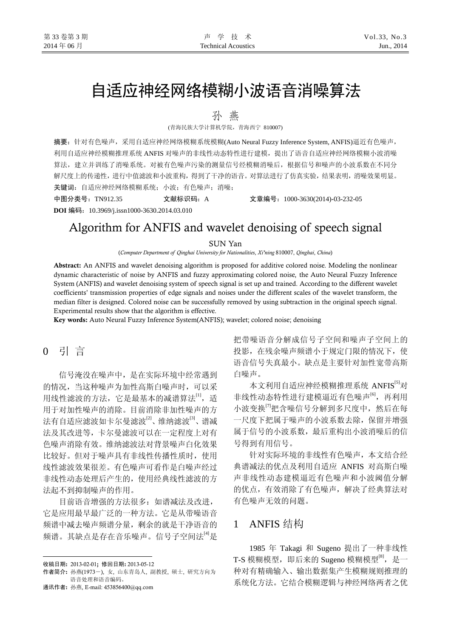# 自适应神经网络模糊小波语音消噪算法

孙 燕

(青海民族大学计算机学院,青海西宁 810007)

摘要:针对有色噪声,采用自适应神经网络模糊系统模糊(Auto Neural Fuzzy Inference System, ANFIS)逼近有色噪声, 利用自适应神经模糊推理系统 ANFIS 对噪声的非线性动态特性进行建模,提出了语音自适应神经网络模糊小波消噪 算法,建立并训练了消噪系统。对被有色噪声污染的测量信号经模糊消噪后,根据信号和噪声的小波系数在不同分 解尺度上的传递性,进行中值滤波和小波重构,得到了干净的语音。对算法进行了仿真实验,结果表明,消噪效果明显。 关键词:自适应神经网络模糊系统;小波;有色噪声;消噪;

**DOI** 编码:10.3969/j.issn1000-3630.2014.03.010

中图分类号:TN912.35 文献标识码:A 文章编号:1000-3630(2014)-03-232-05

## Algorithm for ANFIS and wavelet denoising of speech signal

#### SUN Yan

(*Computer Department of Qinghai University for Nationalities*, *Xi'ning* 810007, *Qinghai*, *China*)

Abstract**:** An ANFIS and wavelet denoising algorithm is proposed for additive colored noise. Modeling the nonlinear dynamic characteristic of noise by ANFIS and fuzzy approximating colored noise, the Auto Neural Fuzzy Inference System (ANFIS) and wavelet denoising system of speech signal is set up and trained. According to the different wavelet coefficients' transmission properties of edge signals and noises under the different scales of the wavelet transform, the median filter is designed. Colored noise can be successfully removed by using subtraction in the original speech signal. Experimental results show that the algorithm is effective.

Key words**:** Auto Neural Fuzzy Inference System(ANFIS); wavelet; colored noise; denoising

0 引 言

信号淹没在噪声中,是在实际环境中经常遇到 的情况,当这种噪声为加性高斯白噪声时,可以采 用线性滤波的方法,它是最基本的减谱算法<sup>[1]</sup>,适 用于对加性噪声的消除。目前消除非加性噪声的方 法有自适应滤波如卡尔曼滤波<sup>[2]</sup>、维纳滤波<sup>[3]</sup>、谱减 法及其改进等,卡尔曼滤波可以在一定程度上对有 色噪声消除有效。维纳滤波法对背景噪声白化效果 比较好。但对于噪声具有非线性传播性质时,使用 线性滤波效果很差。有色噪声可看作是白噪声经过 非线性动态处理后产生的,使用经典线性滤波的方 法起不到抑制噪声的作用。

目前语音增强的方法很多:如谱减法及改进, 它是应用最早最广泛的一种方法。它是从带噪语音 频谱中减去噪声频谱分量,剩余的就是干净语音的 频谱。其缺点是存在音乐噪声。信号子空间法[4]是

 $\overline{a}$ 

通讯作者: 孙燕, E-mail: 453856400@qq.com

把带噪语音分解成信号子空间和噪声子空间上的 投影,在残余噪声频谱小于规定门限的情况下,使 语音信号失真最小。缺点是主要针对加性宽带高斯 白噪声。

本文利用自适应神经模糊推理系统 ANFIS[5]对 非线性动态特性进行建模逼近有色噪声<sup>[6]</sup>,再利用 小波变换<sup>[7]</sup>把含噪信号分解到多尺度中,然后在每 一尺度下把属于噪声的小波系数去除,保留并增强 属于信号的小波系数,最后重构出小波消噪后的信 号得到有用信号。

针对实际环境的非线性有色噪声,本文结合经 典谱减法的优点及利用自适应 ANFIS 对高斯白噪 声非线性动态建模逼近有色噪声和小波阈值分解 的优点,有效消除了有色噪声,解决了经典算法对 有色噪声无效的问题。

### 1 ANFIS 结构

1985 年 Takagi 和 Sugeno 提出了一种非线性 T-S 模糊模型, 即后来的 Sugeno 模糊模型<sup>[8]</sup>, 是一 种对有精确输入、输出数据集产生模糊规则推理的 系统化方法。它结合模糊逻辑与神经网络两者之优

收稿日期: 2013-02-01; 修回日期: 2013-05-12

作者简介: 孙燕(1973-), 女, 山东青岛人, 副教授, 硕士, 研究方向为 语音处理和语音编码。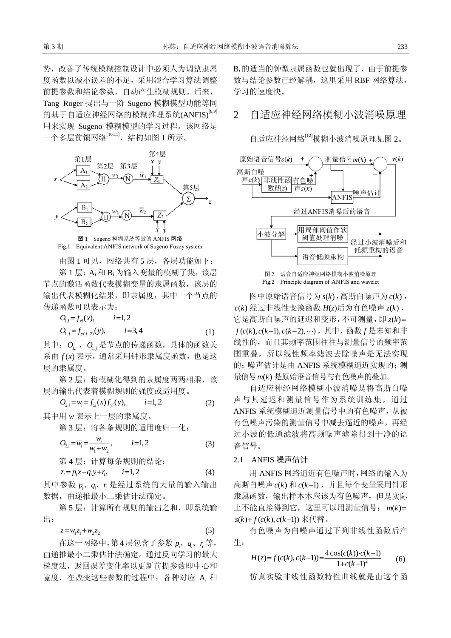势,改善了传统模糊控制设计中必须人为调整隶属 度函数以减小误差的不足,采用混合学习算法调整 前提参数和结论参数,自动产生模糊规则。后来, Tang Roger 提出与一阶 Sugeno 模糊模型功能等同 的基于自适应神经网络的模糊推理系统(ANFIS)<sup>[8,9]</sup> 用来实现 Sugeno 模糊模型的学习过程。该网络是 一个多层前馈网络[10,11],结构如图 1 所示。



Fig.1 Equivalent ANFIS network of Sugeno Fuzzy system

由图 1 可见, 网络共有 5 层, 各层功能如下:

第1层: A<sub>i</sub>和 B<sub>i</sub> 为输入变量的模糊子集, 该层 节点的激活函数代表模糊变量的隶属函数,该层的 输出代表模糊化结果,即隶属度,其中一个节点的 传递函数可以表示为:

$$
O_{1,i} = f_{xi}(x), \qquad i=1,2
$$
  
\n
$$
O_{1,i} = f_{y(i-2)}(y), \qquad i=3,4
$$
 (1)

其中:  $O_{1}$ ,  $O_{1}$ , 是节点的传递函数, 具体的函数关 系由  $f(x)$  表示, 通常采用钟形隶属度函数, 也是这 层的隶属度。

第 2 层: 将模糊化得到的隶属度两两相乘, 该 层的输出代表着模糊规则的强度或适用度。

$$
O_{2,i} = w_i = f_{xi}(x) f_{yi}(y), \qquad i = 1, 2 \tag{2}
$$

其中用 *w* 表示上一层的隶属度。

第 3 层: 将各条规则的适用度归一化:

$$
O_{3,i} = \overline{w}_i = \frac{w_i}{w_1 + w_2}, \qquad i = 1, 2
$$
 (3)

第 4 层: 计算每条规则的结论:

$$
z_i = p_i x + q_i y + r_i, \qquad i = 1, 2 \tag{4}
$$

其中参数 p<sub>i</sub>、q<sub>i</sub>、r; 是经过系统的大量的输入输出 数据,由递推最小二乘估计法确定。

第 5 层:计算所有规则的输出之和,即系统输 出:

$$
z = \overline{w}_1 z_1 + \overline{w}_2 z_2 \tag{5}
$$

在这一网络中,第 4 层包含了参数 等, *i i pqr* 、 、 *i*由递推最小二乘估计法确定。通过反向学习的最大 梯度法,返回误差变化率以更新前提参数即中心和 宽度.在改变这些参数的过程中,各种对应 A*<sup>i</sup>* 和

B*<sup>i</sup>* 的适当的钟型隶属函数也就出现了,由于前提参 数与结论参数已经解耦,这里采用 RBF 网络算法, 学习的速度快。

## 2 自适应神经网络模糊小波消噪原理

自适应神经网络[12]模糊小波消噪原理见图 2。



Fig.2 Principle diagram of ANFIS and wavelet

图中原始语音信号为 $s(k)$ , 高斯白噪声为 $c(k)$ ,  $c(k)$  经过非线性变换函数  $H(z)$ 后为有色噪声  $z(k)$ , ( ) 它是高斯白噪声的延迟和变形,不可测量,即 *z k* = *f*(c(k), c(k−1), c(k−2),…), 其中, 函数 *f* 是未知和非 量信号 m(k) 是原始语音信号与有色噪声的叠加。 线性的,而且其频率范围往往与测量信号的频率范 围重叠,所以线性频率滤波去除噪声是无法实现 的;噪声估计是由 ANFIS 系统模糊逼近实现的;测

自适应神经网络模糊小波消噪是将高斯白噪 声与其延迟和测量信号作为系统训练集,通过 ANFIS 系统模糊逼近测量信号中的有色噪声,从被 有色噪声污染的测量信号中减去逼近的噪声,再经 过小波的低通滤波将高频噪声滤除得到干净的语 音信号。

#### 2.1 ANFIS 噪声估计

用 ANFIS 网络逼近有色噪声时,网络的输入为 高斯白噪声 c(k) 和 c(k-1), 并且每个变量采用钟形 隶属函数,输出样本本应该为有色噪声,但是实际 上不能直接得到它, 这里可以用测量信号:  $m(k)$ = *s*(*k*)+ *f*(*c*(*k*), *c*(*k*−1)) 来代替。

有色噪声为白噪声通过下列非线性函数后产 生:

$$
H(z) = f(c(k), c(k-1)) = \frac{4\cos(c(k)) \cdot c(k-1)}{1 + c(k-1)^2} \tag{6}
$$

仿真实验非线性函数特性曲线就是由这个函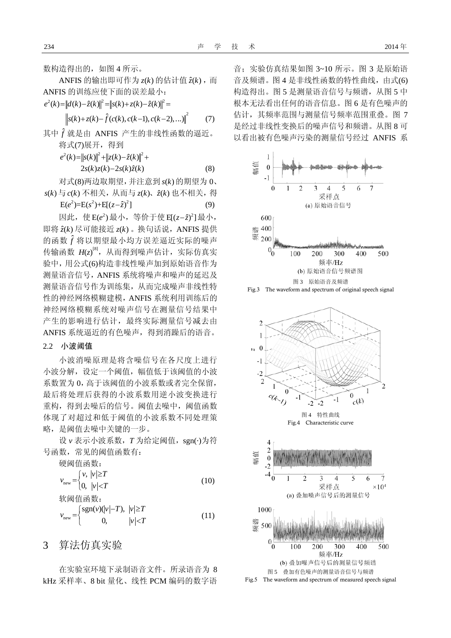数构造得出的,如图 4 所示。

ANFIS 的输出即可作为  $z(k)$  的估计值  $\hat{z}(k)$ , 而 ANFIS 的训练应使下面的误差最小:

$$
e^{2}(k)=||d(k)-\hat{z}(k)||^{2} = ||s(k)+z(k)-\hat{z}(k)||^{2} =
$$

$$
\left\|s(k)+z(k)-\hat{f}(c(k),c(k-1),c(k-2),\ldots)\right\|^2\qquad(7)
$$

 $\overline{2}$ 

其中 ˆ *f* 就是由 ANFIS 产生的非线性函数的逼近。 将式(7)展开,得到

$$
e^{2}(k) = ||s(k)||^{2} + ||z(k) - \hat{z}(k)||^{2} +
$$
  
2s(k)z(k) - 2s(k)\hat{z}(k) (8)

对式(8)两边取期望,并注意到 *s*( ) *k* 的期望为 0、

$$
s(k) \stackrel{1}{\Rightarrow} c(k) \stackrel{1}{\Rightarrow} f(k) \stackrel{1}{\Rightarrow} f(k) \stackrel{1}{\Rightarrow} f(k) \stackrel{1}{\Rightarrow} f(k) \stackrel{1}{\Rightarrow} f(k) = E(e^2) = E(s^2) + E[(z - \hat{z})^2]
$$
(9)

因此, 使 E(e<sup>2</sup>)最小, 等价于使 E[(z−*ż*)<sup>2</sup>]最小, 即将  $\hat{z}(k)$  尽可能接近  $z(k)$  。换句话说, ANFIS 提供 的函数 ˆ *f* 将以期望最小均方误差逼近实际的噪声 传输函数  $H(z)^{[8]}$ ,从而得到噪声估计,实际仿真实 验中,用公式(6)构造非线性噪声加到原始语音作为 测量语音信号,ANFIS 系统将噪声和噪声的延迟及 测量语音信号作为训练集,从而完成噪声非线性特 性的神经网络模糊建模,ANFIS 系统利用训练后的 神经网络模糊系统对噪声信号在测量信号结果中 产生的影响进行估计,最终实际测量信号减去由 ANFIS 系统逼近的有色噪声,得到消躁后的语音。

#### 2.2 小波阈值

小波消噪原理是将含噪信号在各尺度上进行 小波分解,设定一个阈值,幅值低于该阈值的小波 系数置为 0,高于该阈值的小波系数或者完全保留, 最后将处理后获得的小波系数用逆小波变换进行 重构,得到去噪后的信号。阈值去噪中,阈值函数 体现了对超过和低于阈值的小波系数不同处理策 略,是阈值去噪中关键的一步。

设 v 表示小波系数, T 为给定阈值, sgn(·)为符 号函数,常见的阈值函数有:

$$
\begin{aligned}\n\text{quad} &\text{[} \mathbb{B} \text{]}\n&\text{[} \mathbb{B} \text{]}\n\text{[} \mathbb{B} \text{]}\n\text{[} \mathbb{B} \text{]}\n\text{[} \mathbb{B} \text{]}\n\text{[} \mathbb{B} \text{]}\n\text{[} \mathbb{B} \text{]}\n\text{[} \mathbb{B} \text{]}\n\text{[} \mathbb{B} \text{]}\n\text{[} \mathbb{B} \text{]}\n\text{[} \mathbb{B} \text{]}\n\text{[} \mathbb{B} \text{]}\n\text{[} \mathbb{B} \text{]}\n\text{[} \mathbb{B} \text{]}\n\text{[} \mathbb{B} \text{]}\n\text{[} \mathbb{B} \text{]}\n\text{[} \mathbb{B} \text{]}\n\text{[} \mathbb{B} \text{]}\n\text{[} \mathbb{B} \text{]}\n\text{[} \mathbb{B} \text{]}\n\text{[} \mathbb{B} \text{]}\n\text{[} \mathbb{B} \text{]}\n\text{[} \mathbb{B} \text{]}\n\text{[} \mathbb{B} \text{]}\n\text{[} \mathbb{B} \text{]}\n\text{[} \mathbb{B} \text{]}\n\text{[} \mathbb{B} \text{]}\n\text{[} \mathbb{B} \text{]}\n\text{[} \mathbb{B} \text{]}\n\text{[} \mathbb{B} \text{]}\n\text{[} \mathbb{B} \text{]}\n\text{[} \mathbb{B} \text{]}\n\text{[} \mathbb{B} \text{]}\n\text{[} \mathbb{B} \text{]}\n\text{[} \mathbb{B} \text{]}\n\text{[} \mathbb{B} \text{]}\n\text{[} \mathbb{B} \text{]}\n\text{[} \mathbb{B} \text{]}\n\text{[} \mathbb{B} \text{]}\n\text{[} \mathbb{B} \text{]}\n\text{[} \mathbb{B} \text{]}\n\text{[} \mathbb{B} \text{]}\n\text{[} \mathbb{B} \text{]}\n\text{[} \mathbb{B} \text{
$$

$$
v_{\text{new}} = \begin{cases} \text{sgn}(v)(|v|-T), & |v| \ge T \\ 0, & |v| < T \end{cases}
$$
(11)

3 算法仿真实验

在实验室环境下录制语音文件。所录语音为 8 kHz 采样率、8 bit 量化、线性 PCM 编码的数字语

音;实验仿真结果如图 3~10 所示。图 3 是原始语 音及频谱。图 4 是非线性函数的特性曲线,由式(6) 构造得出。图 5 是测量语音信号与频谱,从图 5 中 根本无法看出任何的语音信息。图 6 是有色噪声的 估计, 其频率范围与测量信号频率范围重叠。图 7 是经过非线性变换后的噪声信号和频谱。从图 8 可 以看出被有色噪声污染的测量信号经过 ANFIS 系





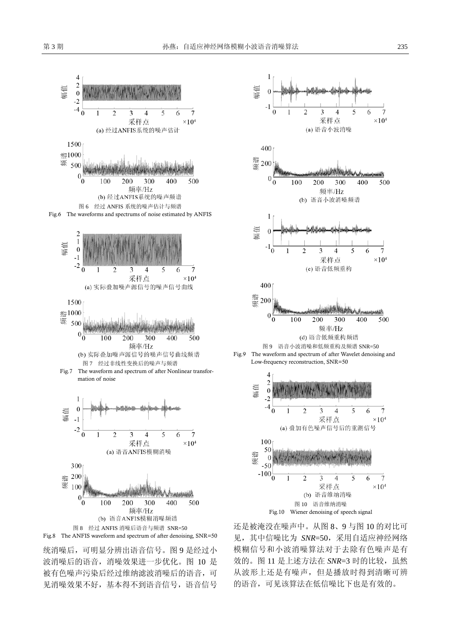

统消噪后,可明显分辨出语音信号。图 9 是经过小 波消噪后的语音,消噪效果进一步优化。图 10 是 被有色噪声污染后经过维纳滤波消噪后的语音,可 见消噪效果不好,基本得不到语音信号,语音信号



还是被淹没在噪声中。从图 8、9 与图 10 的对比可 见,其中信噪比为 *SNR*=50,采用自适应神经网络 模糊信号和小波消噪算法对于去除有色噪声是有 效的。图 11 是上述方法在 SNR=3 时的比较, 虽然 从波形上还是有噪声,但是播放时得到清晰可辨 的语音,可见该算法在低信噪比下也是有效的。